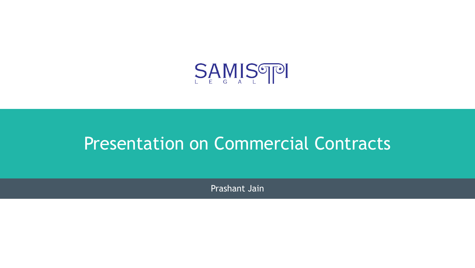

# Presentation on Commercial Contracts

Prashant Jain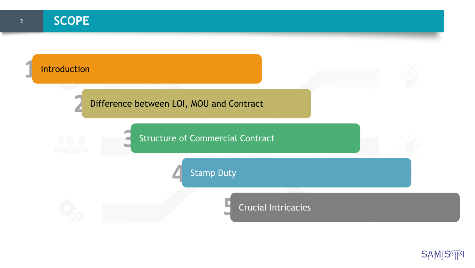

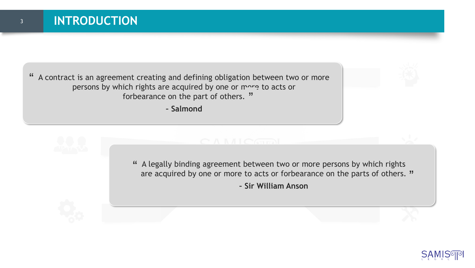A contract is an agreement creating and defining obligation between two or more persons by which rights are acquired by one or more to acts or forbearance on the part of others. "  $^{\prime}$ 

**– Salmond**



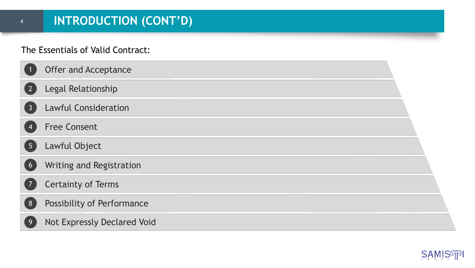#### The Essentials of Valid Contract:

|                 | <b>Offer and Acceptance</b>       |  |
|-----------------|-----------------------------------|--|
| $\sqrt{2}$      | Legal Relationship                |  |
| $\overline{3}$  | <b>Lawful Consideration</b>       |  |
| $\overline{4}$  | <b>Free Consent</b>               |  |
| $5\overline{)}$ | Lawful Object                     |  |
| 6               | Writing and Registration          |  |
|                 | <b>Certainty of Terms</b>         |  |
| 8               | <b>Possibility of Performance</b> |  |
| 9               | Not Expressly Declared Void       |  |

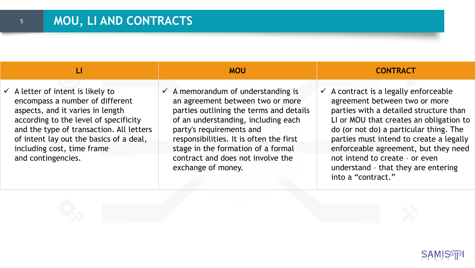$\checkmark$  A letter of intent is likely to encompass a number of different aspects, and it varies in length according to the level of specificity and the type of transaction. All letters of intent lay out the basics of a deal, including cost, time frame and contingencies.

 $\checkmark$  A memorandum of understanding is an agreement between two or more parties outlining the terms and details of an understanding, including each party's requirements and responsibilities. It is often the first stage in the formation of a formal contract and does not involve the exchange of money.

#### **LI MOU CONTRACT**

 $\checkmark$  A contract is a legally enforceable agreement between two or more parties with a detailed structure than LI or MOU that creates an obligation to do (or not do) a particular thing. The parties must intend to create a legally enforceable agreement, but they need not intend to create – or even understand – that they are entering into a "contract."

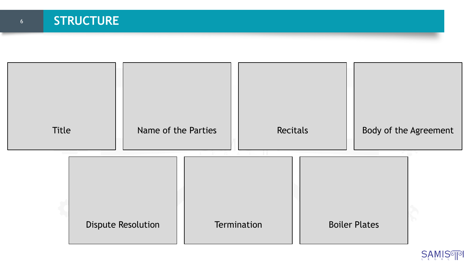

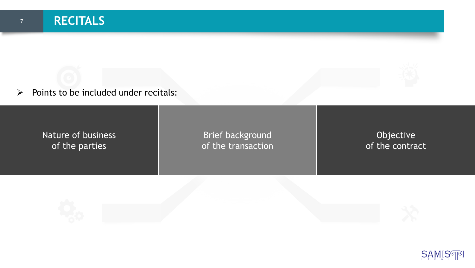# **RECITALS**

➢ Points to be included under recitals:

Nature of business of the parties

Brief background of the transaction

Objective of the contract

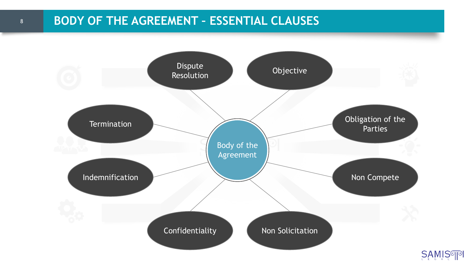# <sup>8</sup> **BODY OF THE AGREEMENT – ESSENTIAL CLAUSES**

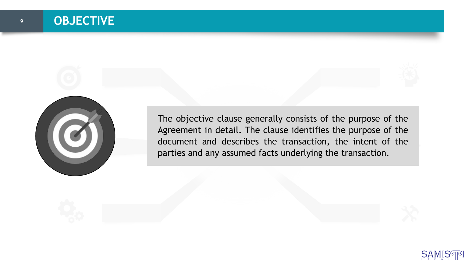

The objective clause generally consists of the purpose of the Agreement in detail. The clause identifies the purpose of the document and describes the transaction, the intent of the parties and any assumed facts underlying the transaction.

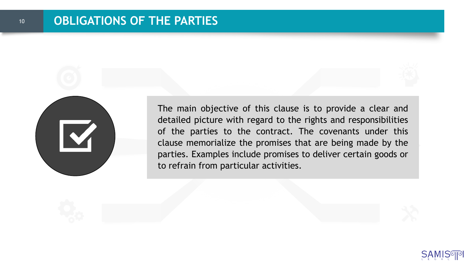

The main objective of this clause is to provide a clear and detailed picture with regard to the rights and responsibilities of the parties to the contract. The covenants under this clause memorialize the promises that are being made by the parties. Examples include promises to deliver certain goods or to refrain from particular activities.

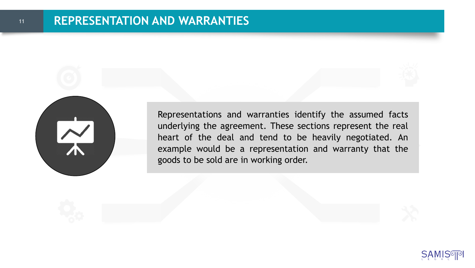

Representations and warranties identify the assumed facts underlying the agreement. These sections represent the real heart of the deal and tend to be heavily negotiated. An example would be a representation and warranty that the goods to be sold are in working order.

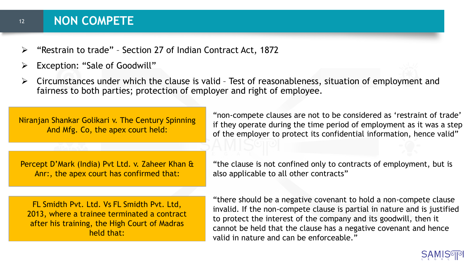#### **NON COMPETE**

12

- $\triangleright$  "Restrain to trade" Section 27 of Indian Contract Act, 1872
- ➢ Exception: "Sale of Goodwill"
- $\triangleright$  Circumstances under which the clause is valid Test of reasonableness, situation of employment and fairness to both parties; protection of employer and right of employee.

Niranjan Shankar Golikari v. The Century Spinning And Mfg. Co, the apex court held:

Percept D'Mark (India) Pvt Ltd. v. Zaheer Khan & Anr:, the apex court has confirmed that:

"non-compete clauses are not to be considered as 'restraint of trade' if they operate during the time period of employment as it was a step of the employer to protect its confidential information, hence valid"

FL Smidth Pvt. Ltd. Vs FL Smidth Pvt. Ltd, 2013, where a trainee terminated a contract after his training, the High Court of Madras held that:

"the clause is not confined only to contracts of employment, but is also applicable to all other contracts"

"there should be a negative covenant to hold a non-compete clause invalid. If the non-compete clause is partial in nature and is justified to protect the interest of the company and its goodwill, then it cannot be held that the clause has a negative covenant and hence valid in nature and can be enforceable."

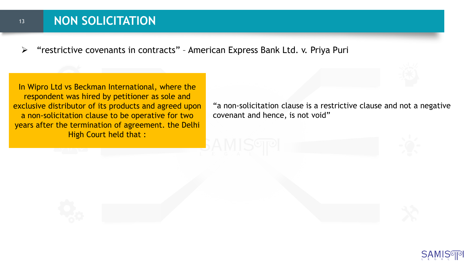### **NON SOLICITATION**

13

➢ "restrictive covenants in contracts" – American Express Bank Ltd. v. Priya Puri

In Wipro Ltd vs Beckman International, where the respondent was hired by petitioner as sole and exclusive distributor of its products and agreed upon a non-solicitation clause to be operative for two years after the termination of agreement. the Delhi High Court held that :

"a non-solicitation clause is a restrictive clause and not a negative covenant and hence, is not void"

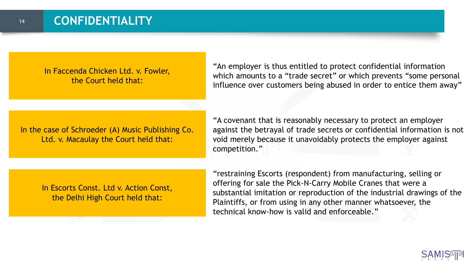In Faccenda Chicken Ltd. v. Fowler, the Court held that:

"An employer is thus entitled to protect confidential information which amounts to a "trade secret" or which prevents "some personal influence over customers being abused in order to entice them away"

In the case of Schroeder (A) Music Publishing Co. Ltd. v. Macaulay the Court held that:

"A covenant that is reasonably necessary to protect an employer against the betrayal of trade secrets or confidential information is not void merely because it unavoidably protects the employer against competition."

In Escorts Const. Ltd v. Action Const, the Delhi High Court held that:

"restraining Escorts (respondent) from manufacturing, selling or offering for sale the Pick-N-Carry Mobile Cranes that were a substantial imitation or reproduction of the industrial drawings of the Plaintiffs, or from using in any other manner whatsoever, the technical know-how is valid and enforceable."

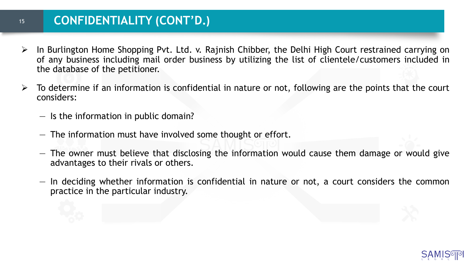### **CONFIDENTIALITY (CONT'D.)**

- $\triangleright$  In Burlington Home Shopping Pvt. Ltd. v. Rajnish Chibber, the Delhi High Court restrained carrying on of any business including mail order business by utilizing the list of clientele/customers included in the database of the petitioner.
- $\triangleright$  To determine if an information is confidential in nature or not, following are the points that the court considers:
	- Is the information in public domain?
	- The information must have involved some thought or effort.
	- $-$  The owner must believe that disclosing the information would cause them damage or would give advantages to their rivals or others.
	- $-$  In deciding whether information is confidential in nature or not, a court considers the common practice in the particular industry.

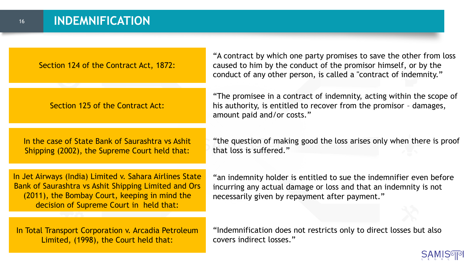Section 124 of the Contract Act, 1872:

Section 125 of the Contract Act:

In the case of State Bank of Saurashtra vs Ashit Shipping (2002), the Supreme Court held that:

"A contract by which one party promises to save the other from loss caused to him by the conduct of the promisor himself, or by the conduct of any other person, is called a "contract of indemnity."

"The promisee in a contract of indemnity, acting within the scope of his authority, is entitled to recover from the promisor – damages, amount paid and/or costs."

"the question of making good the loss arises only when there is proof that loss is suffered."

In Jet Airways (India) Limited v. Sahara Airlines State Bank of Saurashtra vs Ashit Shipping Limited and Ors (2011), the Bombay Court, keeping in mind the decision of Supreme Court in held that:

In Total Transport Corporation v. Arcadia Petroleum Limited, (1998), the Court held that:

"an indemnity holder is entitled to sue the indemnifier even before incurring any actual damage or loss and that an indemnity is not necessarily given by repayment after payment."

"Indemnification does not restricts only to direct losses but also covers indirect losses."

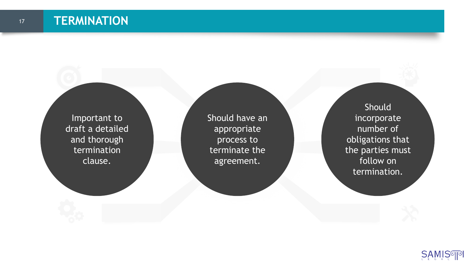Important to draft a detailed and thorough termination clause.

Should have an appropriate process to terminate the agreement.

Should incorporate number of obligations that the parties must follow on termination.

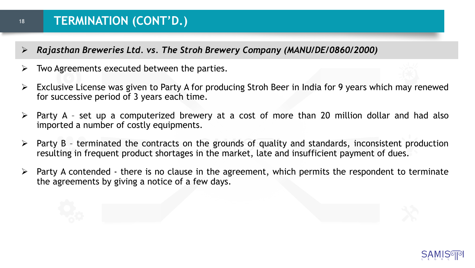- ➢ *Rajasthan Breweries Ltd. vs. The Stroh Brewery Company (MANU/DE/0860/2000)*
- $\triangleright$  Two Agreements executed between the parties.
- $\triangleright$  Exclusive License was given to Party A for producing Stroh Beer in India for 9 years which may renewed for successive period of 3 years each time.
- $\triangleright$  Party A set up a computerized brewery at a cost of more than 20 million dollar and had also imported a number of costly equipments.
- $\triangleright$  Party B terminated the contracts on the grounds of quality and standards, inconsistent production resulting in frequent product shortages in the market, late and insufficient payment of dues.
- $\triangleright$  Party A contended there is no clause in the agreement, which permits the respondent to terminate the agreements by giving a notice of a few days.

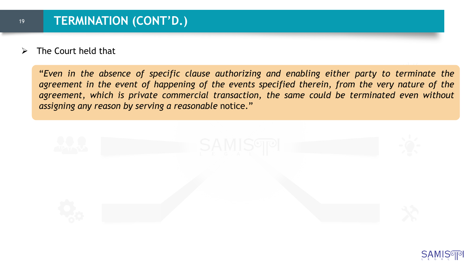➢ The Court held that

"*Even in the absence of specific clause authorizing and enabling either party to terminate the agreement in the event of happening of the events specified therein, from the very nature of the agreement, which is private commercial transaction, the same could be terminated even without assigning any reason by serving a reasonable* notice."



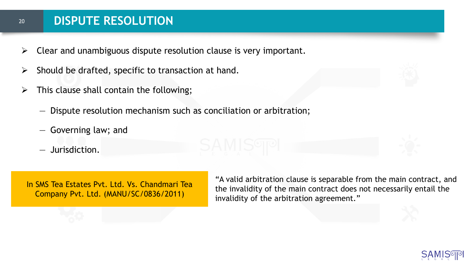#### **DISPUTE RESOLUTION**

- $\triangleright$  Clear and unambiguous dispute resolution clause is very important.
- $\triangleright$  Should be drafted, specific to transaction at hand.
- $\triangleright$  This clause shall contain the following;
	- Dispute resolution mechanism such as conciliation or arbitration;
	- Governing law; and
	- Jurisdiction.

In SMS Tea Estates Pvt. Ltd. Vs. Chandmari Tea Company Pvt. Ltd. (MANU/SC/0836/2011)

"A valid arbitration clause is separable from the main contract, and the invalidity of the main contract does not necessarily entail the invalidity of the arbitration agreement."

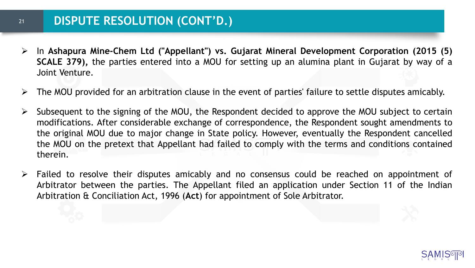#### **DISPUTE RESOLUTION (CONT'D.)**

- ➢ In **Ashapura Mine-Chem Ltd ("Appellant") vs. Gujarat Mineral Development Corporation (2015 (5) SCALE 379),** the parties entered into a MOU for setting up an alumina plant in Gujarat by way of a Joint Venture.
- $\triangleright$  The MOU provided for an arbitration clause in the event of parties' failure to settle disputes amicably.
- $\triangleright$  Subsequent to the signing of the MOU, the Respondent decided to approve the MOU subject to certain modifications. After considerable exchange of correspondence, the Respondent sought amendments to the original MOU due to major change in State policy. However, eventually the Respondent cancelled the MOU on the pretext that Appellant had failed to comply with the terms and conditions contained therein.
- ➢ Failed to resolve their disputes amicably and no consensus could be reached on appointment of Arbitrator between the parties. The Appellant filed an application under Section 11 of the Indian Arbitration & Conciliation Act, 1996 (**Act**) for appointment of Sole Arbitrator.

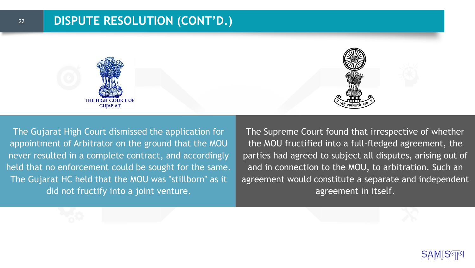

The Gujarat High Court dismissed the application for appointment of Arbitrator on the ground that the MOU never resulted in a complete contract, and accordingly held that no enforcement could be sought for the same. The Gujarat HC held that the MOU was "stillborn" as it did not fructify into a joint venture.

The Supreme Court found that irrespective of whether the MOU fructified into a full-fledged agreement, the parties had agreed to subject all disputes, arising out of and in connection to the MOU, to arbitration. Such an agreement would constitute a separate and independent agreement in itself.

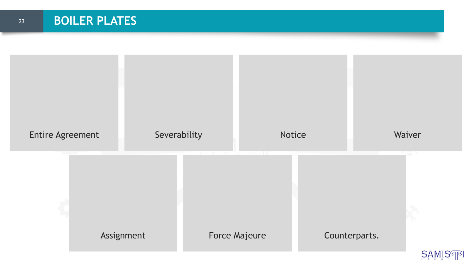

**SAMIS**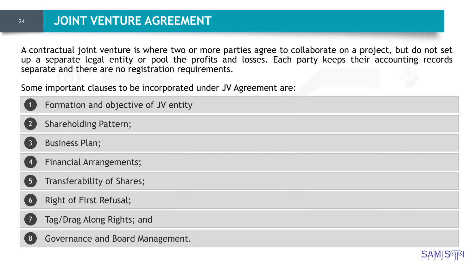A contractual joint venture is where two or more parties agree to collaborate on a project, but do not set up a separate legal entity or pool the profits and losses. Each party keeps their accounting records separate and there are no registration requirements.

Some important clauses to be incorporated under JV Agreement are:

| $\vert$ 1       | Formation and objective of JV entity |
|-----------------|--------------------------------------|
| 2               | <b>Shareholding Pattern;</b>         |
| $\overline{3}$  | <b>Business Plan;</b>                |
| $\sqrt{4}$      | <b>Financial Arrangements;</b>       |
| $5\overline{)}$ | Transferability of Shares;           |
| 6               | <b>Right of First Refusal;</b>       |
|                 | Tag/Drag Along Rights; and           |

Governance and Board Management.

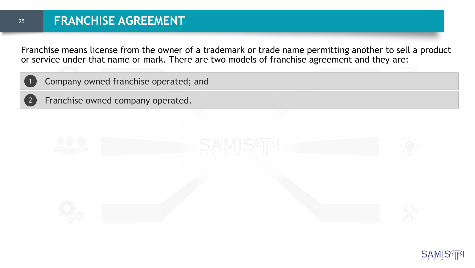Franchise means license from the owner of a trademark or trade name permitting another to sell a product or service under that name or mark. There are two models of franchise agreement and they are:



Franchise owned company operated.

2



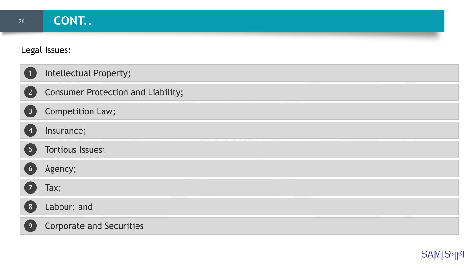#### Legal Issues:

|                                   | Intellectual Property;                    |
|-----------------------------------|-------------------------------------------|
| $\begin{bmatrix} 2 \end{bmatrix}$ | <b>Consumer Protection and Liability;</b> |
| $\overline{3}$                    | Competition Law;                          |
|                                   | Insurance;                                |
| 5 <sup>1</sup>                    | Tortious Issues;                          |
|                                   | Agency;                                   |
| $\overline{7}$                    | Tax;                                      |
| 8                                 | Labour; and                               |
| 9                                 | <b>Corporate and Securities</b>           |

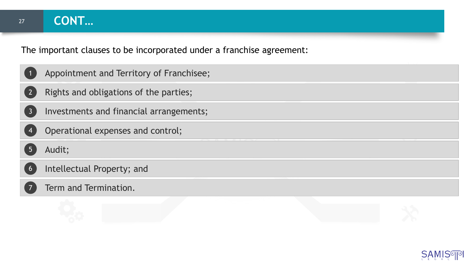27

The important clauses to be incorporated under a franchise agreement:

|                | Appointment and Territory of Franchisee; |
|----------------|------------------------------------------|
|                | Rights and obligations of the parties;   |
| $\overline{3}$ | Investments and financial arrangements;  |
|                | Operational expenses and control;        |
|                | Audit;                                   |
| 6              | Intellectual Property; and               |
|                | Term and Termination.                    |
|                |                                          |

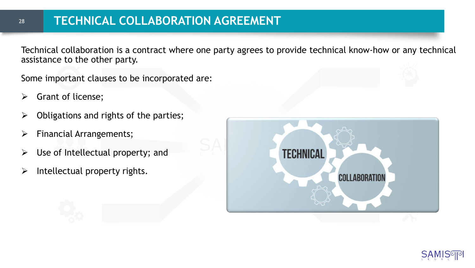# **TECHNICAL COLLABORATION AGREEMENT**

Technical collaboration is a contract where one party agrees to provide technical know-how or any technical assistance to the other party.

Some important clauses to be incorporated are:

➢ Grant of license;

- $\triangleright$  Obligations and rights of the parties;
- ➢ Financial Arrangements;
- $\triangleright$  Use of Intellectual property; and
- $\triangleright$  Intellectual property rights.



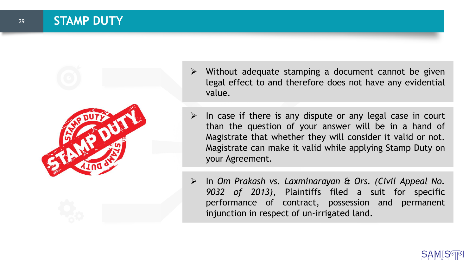

- ➢ Without adequate stamping a document cannot be given legal effect to and therefore does not have any evidential value.
- $\triangleright$  In case if there is any dispute or any legal case in court than the question of your answer will be in a hand of Magistrate that whether they will consider it valid or not. Magistrate can make it valid while applying Stamp Duty on your Agreement.
- ➢ In *Om Prakash vs. Laxminarayan & Ors. (Civil Appeal No. 9032 of 2013),* Plaintiffs filed a suit for specific performance of contract, possession and permanent injunction in respect of un-irrigated land.

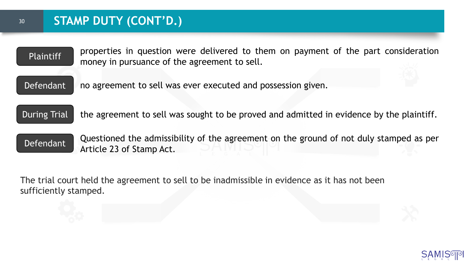30

| <b>Plaintiff</b>    | properties in question were delivered to them on payment of the part consideration<br>money in pursuance of the agreement to sell. |
|---------------------|------------------------------------------------------------------------------------------------------------------------------------|
| Defendant           | no agreement to sell was ever executed and possession given.                                                                       |
| <b>During Trial</b> | the agreement to sell was sought to be proved and admitted in evidence by the plaintiff.                                           |
| Defendant           | Questioned the admissibility of the agreement on the ground of not duly stamped as per<br>Article 23 of Stamp Act.                 |
|                     |                                                                                                                                    |

The trial court held the agreement to sell to be inadmissible in evidence as it has not been sufficiently stamped.